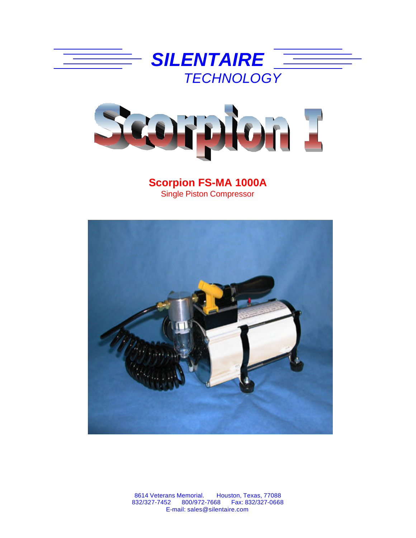



**Scorpion FS-MA 1000A** Single Piston Compressor



8614 Veterans Memorial. Houston, Texas, 77088 832/327-7452 800/972-7668 Fax: 832/327-0668 E-mail: sales@silentaire.com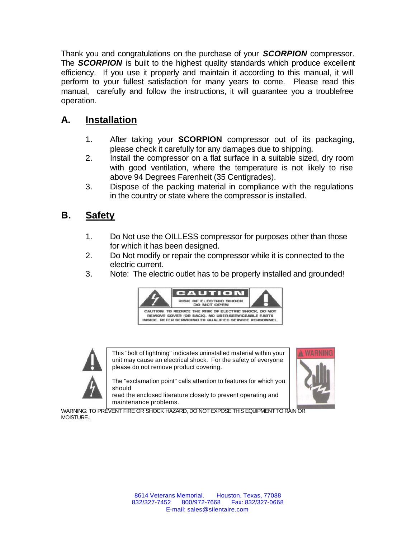Thank you and congratulations on the purchase of your *SCORPION* compressor. The **SCORPION** is built to the highest quality standards which produce excellent efficiency. If you use it properly and maintain it according to this manual, it will perform to your fullest satisfaction for many years to come. Please read this manual, carefully and follow the instructions, it will guarantee you a troublefree operation.

## **A. Installation**

- 1. After taking your **SCORPION** compressor out of its packaging, please check it carefully for any damages due to shipping.
- 2. Install the compressor on a flat surface in a suitable sized, dry room with good ventilation, where the temperature is not likely to rise above 94 Degrees Farenheit (35 Centigrades).
- 3. Dispose of the packing material in compliance with the regulations in the country or state where the compressor is installed.

## **B. Safety**

- 1. Do Not use the OILLESS compressor for purposes other than those for which it has been designed.
- 2. Do Not modify or repair the compressor while it is connected to the electric current.
- 3. Note: The electric outlet has to be properly installed and grounded!





This "bolt of lightning" indicates uninstalled material within your unit may cause an electrical shock. For the safety of everyone please do not remove product covering.

The "exclamation point" calls attention to features for which you should

read the enclosed literature closely to prevent operating and maintenance problems.



WARNING: TO PREVENT FIRE OR SHOCK HAZARD, DO NOT EXPOSE THIS EQUIPMENT TO RAIN OR MOISTURE..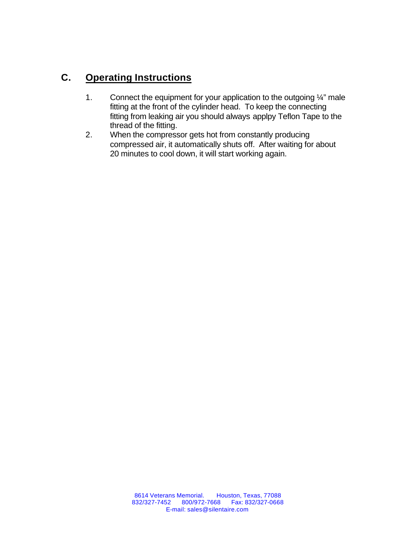## **C. Operating Instructions**

- 1. Connect the equipment for your application to the outgoing 1/4" male fitting at the front of the cylinder head. To keep the connecting fitting from leaking air you should always applpy Teflon Tape to the thread of the fitting.
- 2. When the compressor gets hot from constantly producing compressed air, it automatically shuts off. After waiting for about 20 minutes to cool down, it will start working again.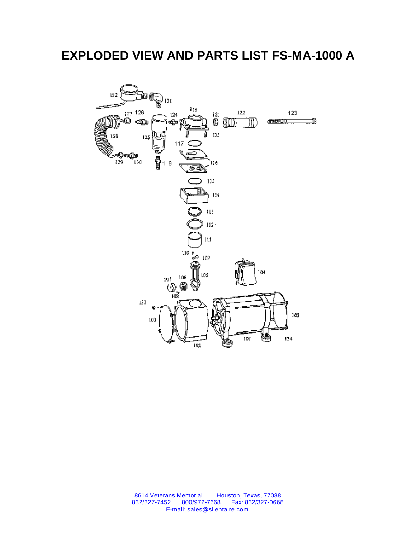## **EXPLODED VIEW AND PARTS LIST FS-MA-1000 A**



8614 Veterans Memorial. Houston, Texas, 77088 832/327-7452 800/972-7668 Fax: 832/327-0668 E-mail: sales@silentaire.com